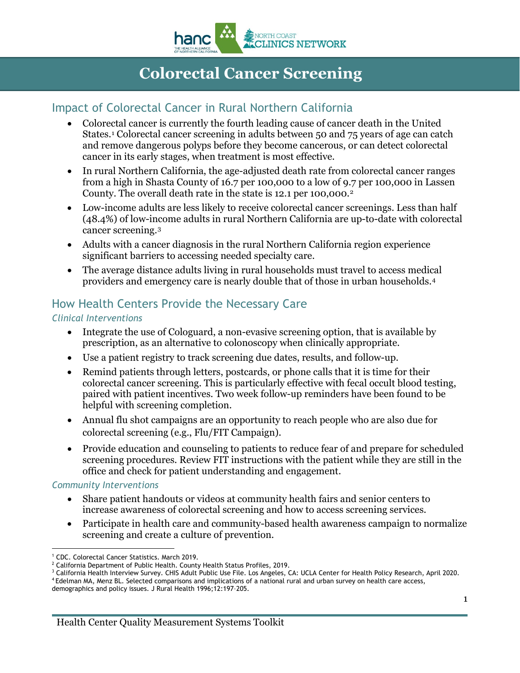

# **Colorectal Cancer Screening**

### Impact of Colorectal Cancer in Rural Northern California

- Colorectal cancer is currently the fourth leading cause of cancer death in the United States.[1](#page-0-0) Colorectal cancer screening in adults between 50 and 75 years of age can catch and remove dangerous polyps before they become cancerous, or can detect colorectal cancer in its early stages, when treatment is most effective.
- In rural Northern California, the age-adjusted death rate from colorectal cancer ranges from a high in Shasta County of 16.7 per 100,000 to a low of 9.7 per 100,000 in Lassen County. The overall death rate in the state is 1[2](#page-0-1).1 per 100,000.<sup>2</sup>
- Low-income adults are less likely to receive colorectal cancer screenings. Less than half (48.4%) of low-income adults in rural Northern California are up-to-date with colorectal cancer screening.[3](#page-0-2)
- Adults with a cancer diagnosis in the rural Northern California region experience significant barriers to accessing needed specialty care.
- The average distance adults living in rural households must travel to access medical providers and emergency care is nearly double that of those in urban households.[4](#page-0-3)

## How Health Centers Provide the Necessary Care

### *Clinical Interventions*

- Integrate the use of Cologuard, a non-evasive screening option, that is available by prescription, as an alternative to colonoscopy when clinically appropriate.
- Use a patient registry to track screening due dates, results, and follow-up.
- Remind patients through letters, postcards, or phone calls that it is time for their colorectal cancer screening. This is particularly effective with fecal occult blood testing, paired with patient incentives. Two week follow-up reminders have been found to be helpful with screening completion.
- Annual flu shot campaigns are an opportunity to reach people who are also due for colorectal screening (e.g., Flu/FIT Campaign).
- Provide education and counseling to patients to reduce fear of and prepare for scheduled screening procedures. Review FIT instructions with the patient while they are still in the office and check for patient understanding and engagement.

### *Community Interventions*

- Share patient handouts or videos at community health fairs and senior centers to increase awareness of colorectal screening and how to access screening services.
- Participate in health care and community-based health awareness campaign to normalize screening and create a culture of prevention.

<span id="page-0-0"></span><sup>&</sup>lt;sup>1</sup> CDC. Colorectal Cancer Statistics. March 2019.

<span id="page-0-1"></span><sup>&</sup>lt;sup>2</sup> California Department of Public Health. County Health Status Profiles, 2019.<br><sup>3</sup> California Health Interview Survey. CHIS Adult Public Use File. Los Angeles, CA: UCLA Center for Health Policy Research, April 2020.<br><sup>4</sup>

<span id="page-0-3"></span><span id="page-0-2"></span>

demographics and policy issues. J Rural Health 1996;12:197–205.